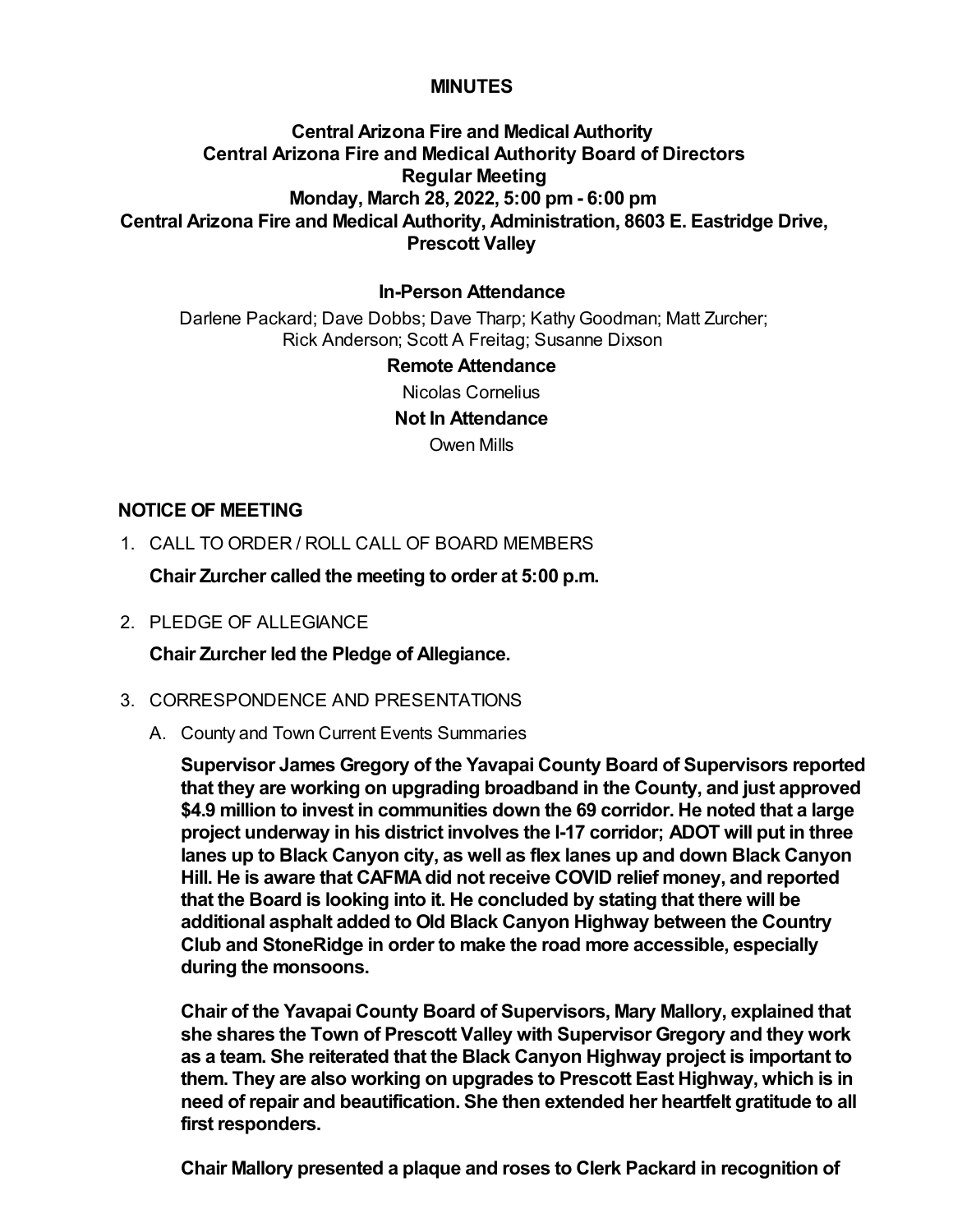## **MINUTES**

# **Central Arizona Fire and Medical Authority Central Arizona Fire and Medical Authority Board of Directors Regular Meeting Monday, March 28, 2022, 5:00 pm - 6:00 pm Central Arizona Fire and Medical Authority, Administration, 8603 E. Eastridge Drive, Prescott Valley**

## **In-Person Attendance**

Darlene Packard; Dave Dobbs; Dave Tharp; Kathy Goodman; Matt Zurcher; Rick Anderson; Scott A Freitag; Susanne Dixson

#### **Remote Attendance**

Nicolas Cornelius

**Not In Attendance**

Owen Mills

## **NOTICE OF MEETING**

1. CALL TO ORDER / ROLL CALL OF BOARD MEMBERS

**Chair Zurcher called the meeting to order at 5:00 p.m.**

2. PLEDGE OF ALLEGIANCE

**Chair Zurcher led the Pledge of Allegiance.**

## 3. CORRESPONDENCE AND PRESENTATIONS

A. County and Town Current Events Summaries

**Supervisor James Gregory of the Yavapai County Board of Supervisors reported that they are working on upgrading broadband in the County, and just approved \$4.9 million to invest in communities down the 69 corridor. He noted that a large project underway in his district involves the I-17 corridor; ADOT will put in three lanes up to Black Canyon city, as well as flex lanes up and down Black Canyon Hill. He is aware that CAFMA did not receive COVID relief money, and reported that the Board is looking into it. He concluded by stating that there will be additional asphalt added to Old Black Canyon Highway between the Country Club and StoneRidge in order to make the road more accessible, especially during the monsoons.**

**Chair of the Yavapai County Board of Supervisors, Mary Mallory, explained that she shares the Town of Prescott Valley with Supervisor Gregory and they work as a team. She reiterated that the Black Canyon Highway project is important to them. They are also working on upgrades to Prescott East Highway, which is in need of repair and beautification. She then extended her heartfelt gratitude to all first responders.**

**Chair Mallory presented a plaque and roses to Clerk Packard in recognition of**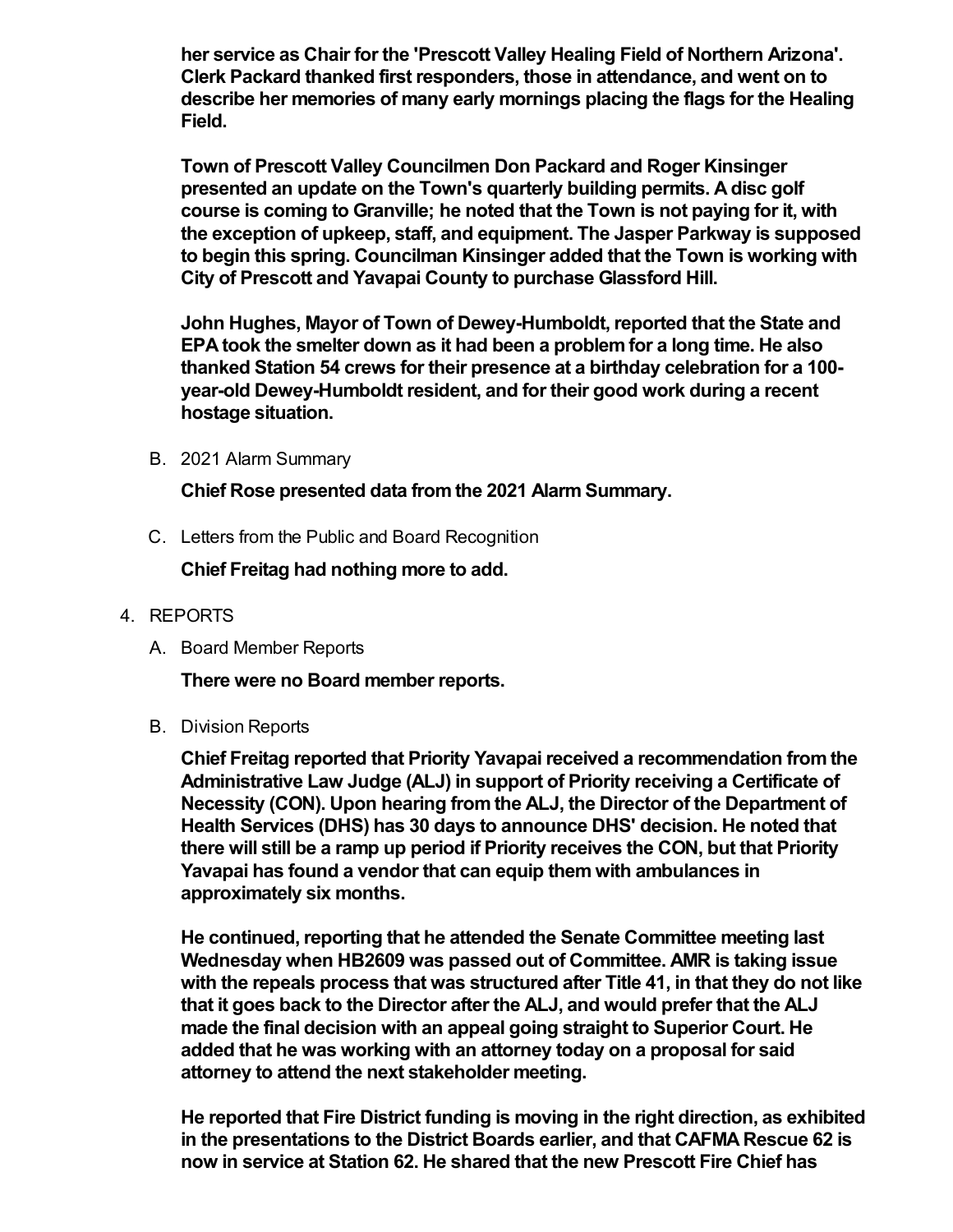**her service as Chair for the 'Prescott Valley Healing Field of Northern Arizona'. Clerk Packard thanked first responders, those in attendance, and went on to describe her memories of many early mornings placing the flags for the Healing Field.** 

**Town of Prescott Valley Councilmen Don Packard and Roger Kinsinger presented an update on the Town's quarterly building permits. A disc golf course is coming to Granville; he noted that the Town is not paying for it, with the exception of upkeep, staff, and equipment. The Jasper Parkway is supposed to begin this spring. Councilman Kinsinger added that the Town is working with City of Prescott and Yavapai County to purchase Glassford Hill.** 

**John Hughes, Mayor of Town of Dewey-Humboldt, reported that the State and EPA took the smelter down as it had been a problem for a long time. He also thanked Station 54 crews for their presence at a birthday celebration for a 100 year-old Dewey-Humboldt resident, and for their good work during a recent hostage situation.**

B. 2021 Alarm Summary

**Chief Rose presented data from the 2021 Alarm Summary.**

C. Letters from the Public and Board Recognition

**Chief Freitag had nothing more to add.**

- 4. REPORTS
	- A. Board Member Reports

**There were no Board member reports.**

B. Division Reports

**Chief Freitag reported that Priority Yavapai received a recommendation from the Administrative Law Judge (ALJ) in support of Priority receiving a Certificate of Necessity (CON). Upon hearing from the ALJ, the Director of the Department of Health Services (DHS) has 30 days to announce DHS' decision. He noted that there will still be a ramp up period if Priority receives the CON, but that Priority Yavapai has found a vendor that can equip them with ambulances in approximately six months.**

**He continued, reporting that he attended the Senate Committee meeting last Wednesday when HB2609 was passed out of Committee. AMR is taking issue with the repeals process that was structured after Title 41, in that they do not like that it goes back to the Director after the ALJ, and would prefer that the ALJ made the final decision with an appeal going straight to Superior Court. He added that he was working with an attorney today on a proposal for said attorney to attend the next stakeholder meeting.**

**He reported that Fire District funding is moving in the right direction, as exhibited in the presentations to the District Boards earlier, and that CAFMA Rescue 62 is now in service at Station 62. He shared that the new Prescott Fire Chief has**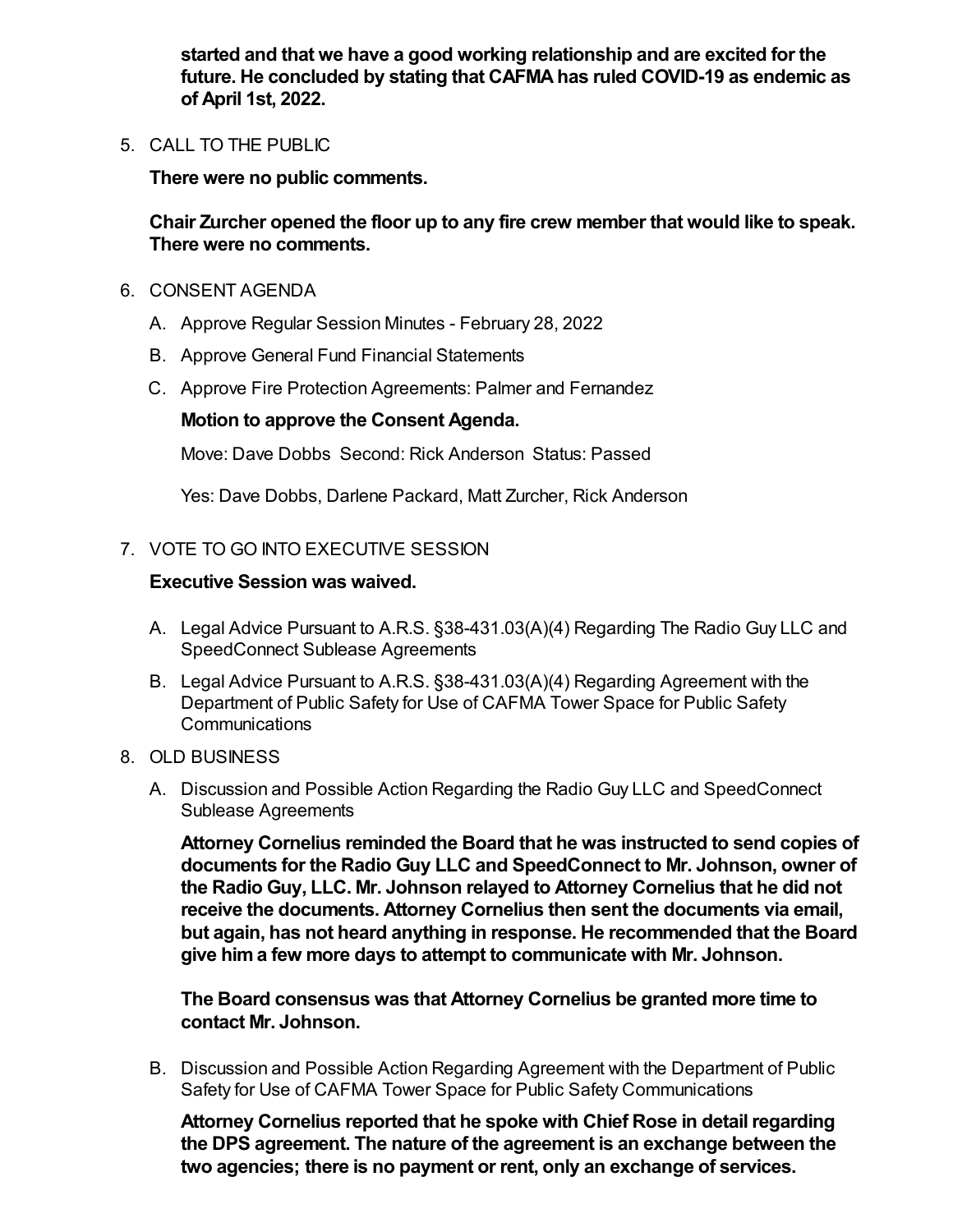**started and that we have a good working relationship and are excited for the future. He concluded by stating that CAFMA has ruled COVID-19 as endemic as of April 1st, 2022.**

5. CALL TO THE PUBLIC

**There were no public comments.**

**Chair Zurcher opened the floor up to any fire crew member that would like to speak. There were no comments.**

- 6. CONSENT AGENDA
	- A. Approve Regular Session Minutes February 28, 2022
	- B. Approve General Fund Financial Statements
	- C. Approve Fire Protection Agreements: Palmer and Fernandez

## **Motion to approve the Consent Agenda.**

Move: Dave Dobbs Second: Rick Anderson Status: Passed

Yes: Dave Dobbs, Darlene Packard, Matt Zurcher, Rick Anderson

## 7. VOTE TO GO INTO EXECUTIVE SESSION

#### **Executive Session was waived.**

- A. Legal Advice Pursuant to A.R.S. §38-431.03(A)(4) Regarding The Radio Guy LLC and SpeedConnect Sublease Agreements
- B. Legal Advice Pursuant to A.R.S. §38-431.03(A)(4) Regarding Agreement with the Department of Public Safety for Use of CAFMA Tower Space for Public Safety Communications
- 8. OLD BUSINESS
	- A. Discussion and Possible Action Regarding the Radio Guy LLC and SpeedConnect Sublease Agreements

**Attorney Cornelius reminded the Board that he was instructed to send copies of documents for the Radio Guy LLC and SpeedConnect to Mr. Johnson, owner of the Radio Guy, LLC. Mr. Johnson relayed to Attorney Cornelius that he did not receive the documents. Attorney Cornelius then sent the documents via email, but again, has not heard anything in response. He recommended that the Board give him a few more days to attempt to communicate with Mr. Johnson.** 

**The Board consensus was that Attorney Cornelius be granted more time to contact Mr. Johnson.**

B. Discussion and Possible Action Regarding Agreement with the Department of Public Safety for Use of CAFMA Tower Space for Public Safety Communications

**Attorney Cornelius reported that he spoke with Chief Rose in detail regarding the DPS agreement. The nature of the agreement is an exchange between the two agencies; there is no payment or rent, only an exchange of services.**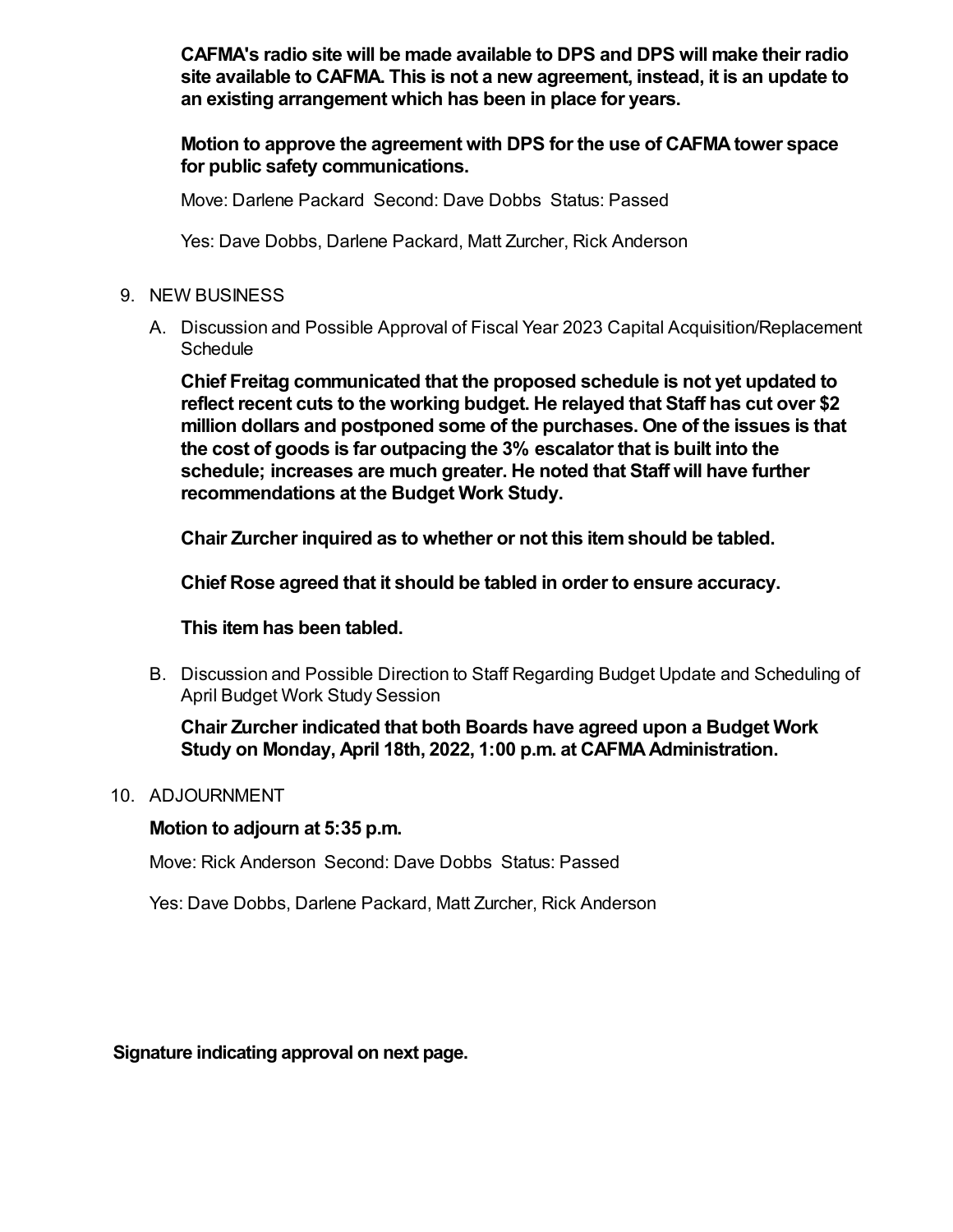**CAFMA's radio site will be made available to DPS and DPS will make their radio site available to CAFMA. This is not a new agreement, instead, it is an update to an existing arrangement which has been in place for years.**

**Motion to approve the agreement with DPS for the use of CAFMA tower space for public safety communications.**

Move: Darlene Packard Second: Dave Dobbs Status: Passed

Yes: Dave Dobbs, Darlene Packard, Matt Zurcher, Rick Anderson

- 9. NEW BUSINESS
	- A. Discussion and Possible Approval of Fiscal Year 2023 Capital Acquisition/Replacement **Schedule**

**Chief Freitag communicated that the proposed schedule is not yet updated to reflect recent cuts to the working budget. He relayed that Staff has cut over \$2 million dollars and postponed some of the purchases. One of the issues is that the cost of goods is far outpacing the 3% escalator that is built into the schedule; increases are much greater. He noted that Staff will have further recommendations at the Budget Work Study.**

**Chair Zurcher inquired as to whether or not this item should be tabled.** 

**Chief Rose agreed that it should be tabled in order to ensure accuracy.** 

**This item has been tabled.**

B. Discussion and Possible Direction to Staff Regarding Budget Update and Scheduling of April Budget Work Study Session

**Chair Zurcher indicated that both Boards have agreed upon a Budget Work Study on Monday, April 18th, 2022, 1:00 p.m. at CAFMA Administration.**

10. ADJOURNMENT

## **Motion to adjourn at 5:35 p.m.**

Move: Rick Anderson Second: Dave Dobbs Status: Passed

Yes: Dave Dobbs, Darlene Packard, Matt Zurcher, Rick Anderson

**Signature indicating approval on next page.**